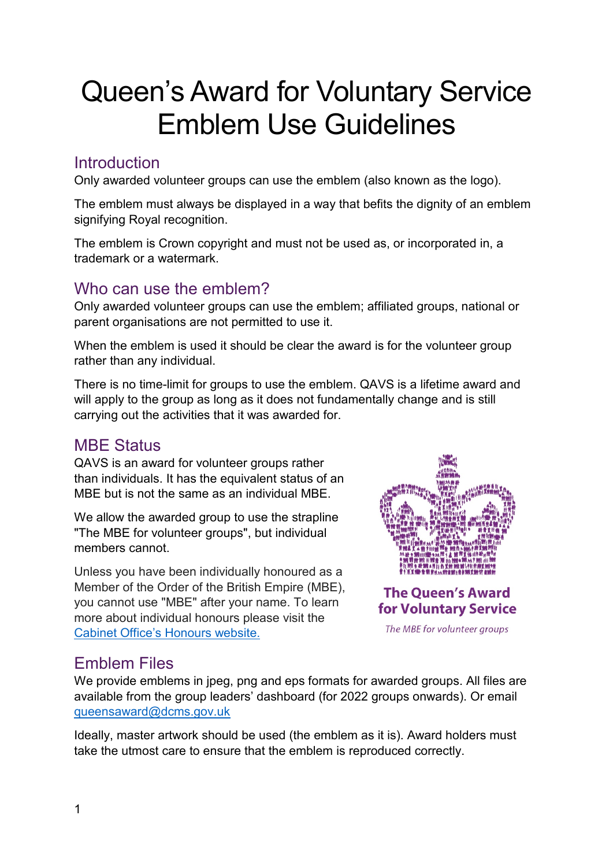# Queen's Award for Voluntary Service Emblem Use Guidelines

## **Introduction**

Only awarded volunteer groups can use the emblem (also known as the logo).

The emblem must always be displayed in a way that befits the dignity of an emblem signifying Royal recognition.

The emblem is Crown copyright and must not be used as, or incorporated in, a trademark or a watermark.

#### Who can use the emblem?

Only awarded volunteer groups can use the emblem; affiliated groups, national or parent organisations are not permitted to use it.

When the emblem is used it should be clear the award is for the volunteer group rather than any individual.

There is no time-limit for groups to use the emblem. QAVS is a lifetime award and will apply to the group as long as it does not fundamentally change and is still carrying out the activities that it was awarded for.

### MBE Status

QAVS is an award for volunteer groups rather than individuals. It has the equivalent status of an MBE but is not the same as an individual MBE.

We allow the awarded group to use the strapline "The MBE for volunteer groups", but individual members cannot.

Unless you have been individually honoured as a Member of the Order of the British Empire (MBE), you cannot use "MBE" after your name. To learn more about individual honours please visit the [Cabinet Office's Honours website.](https://honours.cabinetoffice.gov.uk/)



The MBE for volunteer groups

## Emblem Files

We provide emblems in jpeg, png and eps formats for awarded groups. All files are available from the group leaders' dashboard (for 2022 groups onwards). Or email [queensaward@dcms.gov.uk](mailto:queensaward@dcms.gov.uk?subject=QAVS%20Emblem)

Ideally, master artwork should be used (the emblem as it is). Award holders must take the utmost care to ensure that the emblem is reproduced correctly.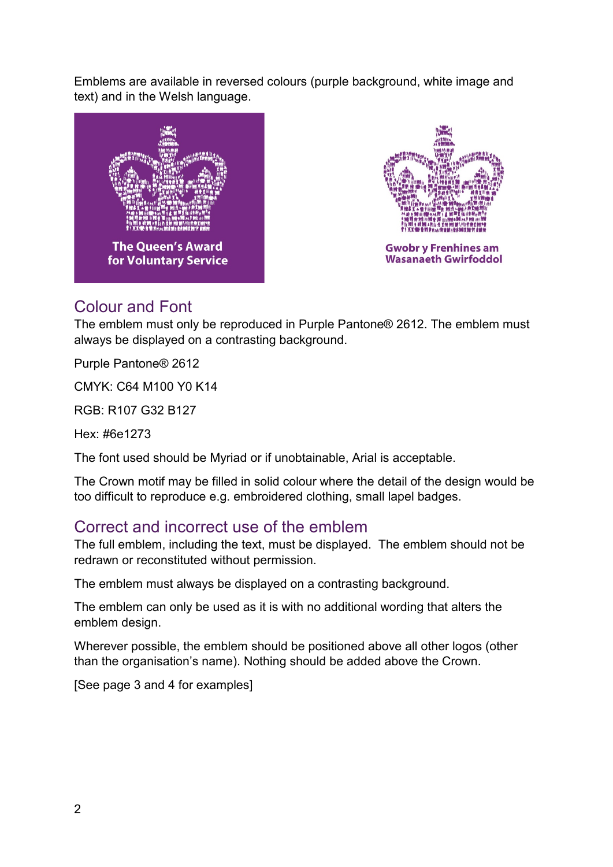Emblems are available in reversed colours (purple background, white image and text) and in the Welsh language.





## Colour and Font

The emblem must only be reproduced in Purple Pantone® 2612. The emblem must always be displayed on a contrasting background.

Purple Pantone® 2612

CMYK: C64 M100 Y0 K14

RGB: R107 G32 B127

Hex: #6e1273

The font used should be Myriad or if unobtainable, Arial is acceptable.

The Crown motif may be filled in solid colour where the detail of the design would be too difficult to reproduce e.g. embroidered clothing, small lapel badges.

#### Correct and incorrect use of the emblem

The full emblem, including the text, must be displayed. The emblem should not be redrawn or reconstituted without permission.

The emblem must always be displayed on a contrasting background.

The emblem can only be used as it is with no additional wording that alters the emblem design.

Wherever possible, the emblem should be positioned above all other logos (other than the organisation's name). Nothing should be added above the Crown.

[See page 3 and 4 for examples]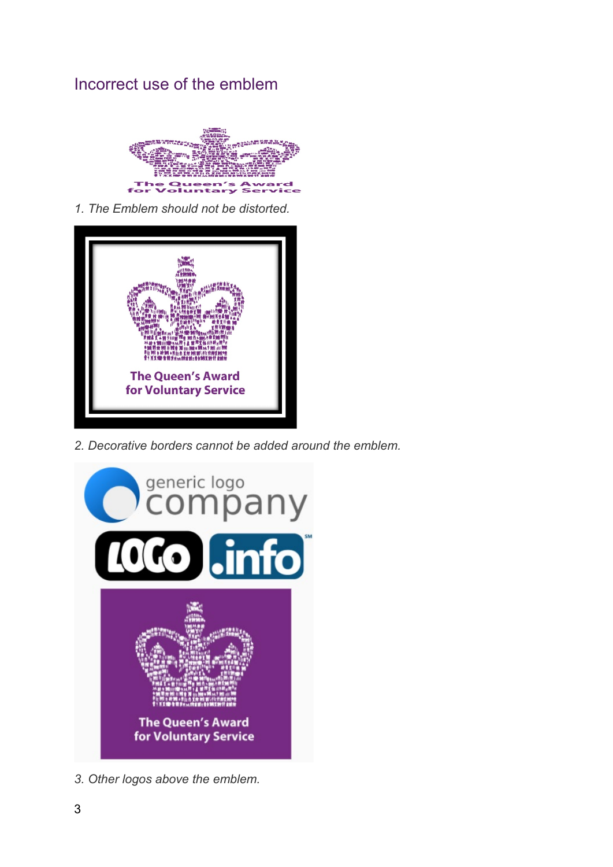### Incorrect use of the emblem



*1. The Emblem should not be distorted.*



*2. Decorative borders cannot be added around the emblem.*



*3. Other logos above the emblem.*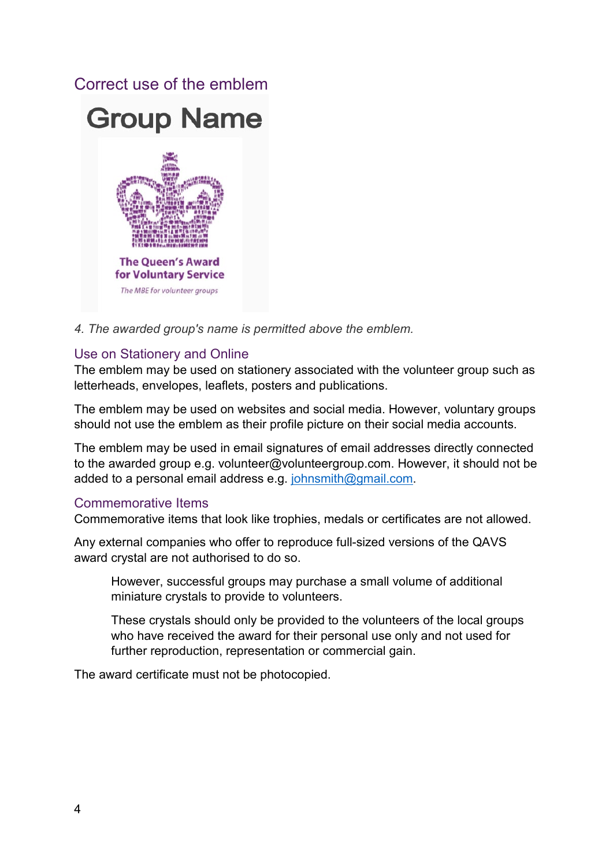#### Correct use of the emblem



*4. The awarded group's name is permitted above the emblem.*

#### Use on Stationery and Online

The emblem may be used on stationery associated with the volunteer group such as letterheads, envelopes, leaflets, posters and publications.

The emblem may be used on websites and social media. However, voluntary groups should not use the emblem as their profile picture on their social media accounts.

The emblem may be used in email signatures of email addresses directly connected to the awarded group e.g. volunteer@volunteergroup.com. However, it should not be added to a personal email address e.g. [johnsmith@gmail.com.](mailto:johnsmith@gmail.com)

#### Commemorative Items

Commemorative items that look like trophies, medals or certificates are not allowed.

Any external companies who offer to reproduce full-sized versions of the QAVS award crystal are not authorised to do so.

However, successful groups may purchase a small volume of additional miniature crystals to provide to volunteers.

These crystals should only be provided to the volunteers of the local groups who have received the award for their personal use only and not used for further reproduction, representation or commercial gain.

The award certificate must not be photocopied.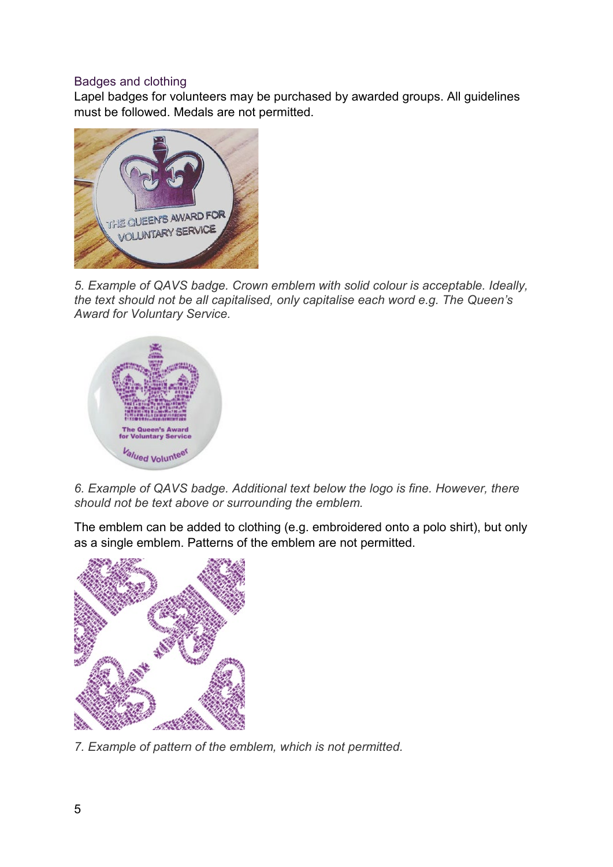#### Badges and clothing

Lapel badges for volunteers may be purchased by awarded groups. All guidelines must be followed. Medals are not permitted.



*5. Example of QAVS badge. Crown emblem with solid colour is acceptable. Ideally, the text should not be all capitalised, only capitalise each word e.g. The Queen's Award for Voluntary Service.*



*6. Example of QAVS badge. Additional text below the logo is fine. However, there should not be text above or surrounding the emblem.*

The emblem can be added to clothing (e.g. embroidered onto a polo shirt), but only as a single emblem. Patterns of the emblem are not permitted.



*7. Example of pattern of the emblem, which is not permitted.*